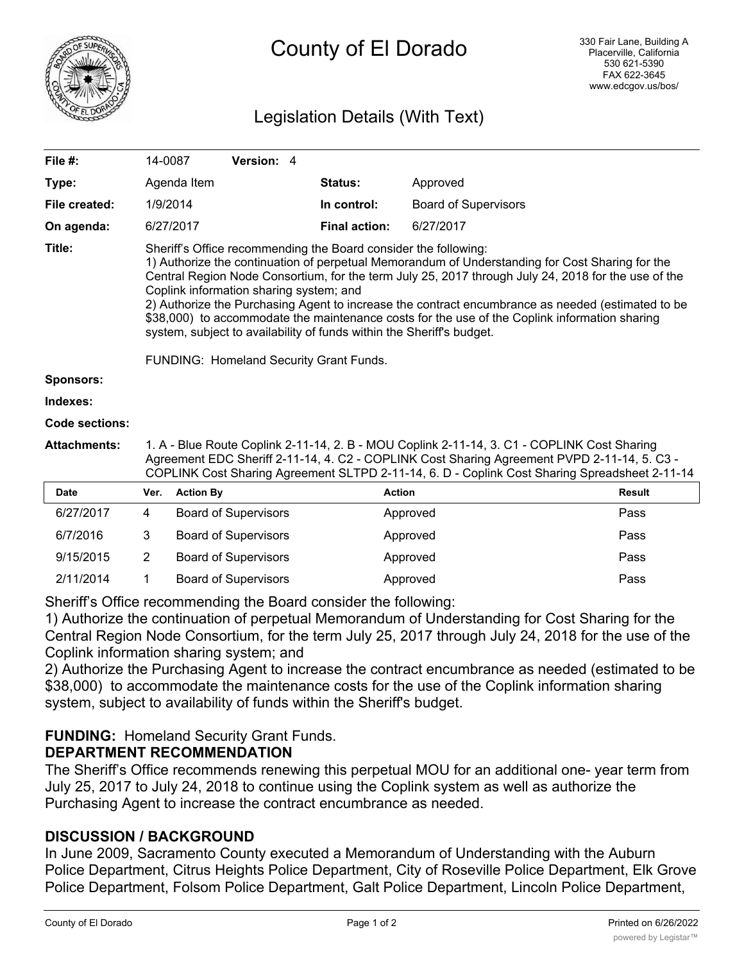

# Legislation Details (With Text)

| File #:               | 14-0087                                                                                                                                                                                                                                                                                                                                                                                                                                                                                                                                                                                                                                        |                  | Version: 4                  |                      |                             |               |
|-----------------------|------------------------------------------------------------------------------------------------------------------------------------------------------------------------------------------------------------------------------------------------------------------------------------------------------------------------------------------------------------------------------------------------------------------------------------------------------------------------------------------------------------------------------------------------------------------------------------------------------------------------------------------------|------------------|-----------------------------|----------------------|-----------------------------|---------------|
| Type:                 |                                                                                                                                                                                                                                                                                                                                                                                                                                                                                                                                                                                                                                                | Agenda Item      |                             | Status:              | Approved                    |               |
| File created:         |                                                                                                                                                                                                                                                                                                                                                                                                                                                                                                                                                                                                                                                | 1/9/2014         |                             | In control:          | <b>Board of Supervisors</b> |               |
| On agenda:            |                                                                                                                                                                                                                                                                                                                                                                                                                                                                                                                                                                                                                                                | 6/27/2017        |                             | <b>Final action:</b> | 6/27/2017                   |               |
| Title:                | Sheriff's Office recommending the Board consider the following:<br>1) Authorize the continuation of perpetual Memorandum of Understanding for Cost Sharing for the<br>Central Region Node Consortium, for the term July 25, 2017 through July 24, 2018 for the use of the<br>Coplink information sharing system; and<br>2) Authorize the Purchasing Agent to increase the contract encumbrance as needed (estimated to be<br>\$38,000) to accommodate the maintenance costs for the use of the Coplink information sharing<br>system, subject to availability of funds within the Sheriff's budget.<br>FUNDING: Homeland Security Grant Funds. |                  |                             |                      |                             |               |
| <b>Sponsors:</b>      |                                                                                                                                                                                                                                                                                                                                                                                                                                                                                                                                                                                                                                                |                  |                             |                      |                             |               |
| Indexes:              |                                                                                                                                                                                                                                                                                                                                                                                                                                                                                                                                                                                                                                                |                  |                             |                      |                             |               |
| <b>Code sections:</b> |                                                                                                                                                                                                                                                                                                                                                                                                                                                                                                                                                                                                                                                |                  |                             |                      |                             |               |
| <b>Attachments:</b>   | 1. A - Blue Route Coplink 2-11-14, 2. B - MOU Coplink 2-11-14, 3. C1 - COPLINK Cost Sharing<br>Agreement EDC Sheriff 2-11-14, 4. C2 - COPLINK Cost Sharing Agreement PVPD 2-11-14, 5. C3 -<br>COPLINK Cost Sharing Agreement SLTPD 2-11-14, 6. D - Coplink Cost Sharing Spreadsheet 2-11-14                                                                                                                                                                                                                                                                                                                                                    |                  |                             |                      |                             |               |
| <b>Date</b>           | Ver.                                                                                                                                                                                                                                                                                                                                                                                                                                                                                                                                                                                                                                           | <b>Action By</b> |                             |                      | <b>Action</b>               | <b>Result</b> |
| 6/27/2017             | 4                                                                                                                                                                                                                                                                                                                                                                                                                                                                                                                                                                                                                                              |                  | <b>Board of Supervisors</b> |                      | Approved                    | Pass          |
| 6/7/2016              | 3                                                                                                                                                                                                                                                                                                                                                                                                                                                                                                                                                                                                                                              |                  | <b>Board of Supervisors</b> |                      | Approved                    | Pass          |
| 9/15/2015             | 2                                                                                                                                                                                                                                                                                                                                                                                                                                                                                                                                                                                                                                              |                  | <b>Board of Supervisors</b> |                      | Approved                    | Pass          |
| 2/11/2014             | 1                                                                                                                                                                                                                                                                                                                                                                                                                                                                                                                                                                                                                                              |                  | <b>Board of Supervisors</b> |                      | Approved                    | Pass          |

Sheriff's Office recommending the Board consider the following:

1) Authorize the continuation of perpetual Memorandum of Understanding for Cost Sharing for the Central Region Node Consortium, for the term July 25, 2017 through July 24, 2018 for the use of the Coplink information sharing system; and

2) Authorize the Purchasing Agent to increase the contract encumbrance as needed (estimated to be \$38,000) to accommodate the maintenance costs for the use of the Coplink information sharing system, subject to availability of funds within the Sheriff's budget.

# **FUNDING:** Homeland Security Grant Funds.

## **DEPARTMENT RECOMMENDATION**

The Sheriff's Office recommends renewing this perpetual MOU for an additional one- year term from July 25, 2017 to July 24, 2018 to continue using the Coplink system as well as authorize the Purchasing Agent to increase the contract encumbrance as needed.

## **DISCUSSION / BACKGROUND**

In June 2009, Sacramento County executed a Memorandum of Understanding with the Auburn Police Department, Citrus Heights Police Department, City of Roseville Police Department, Elk Grove Police Department, Folsom Police Department, Galt Police Department, Lincoln Police Department,